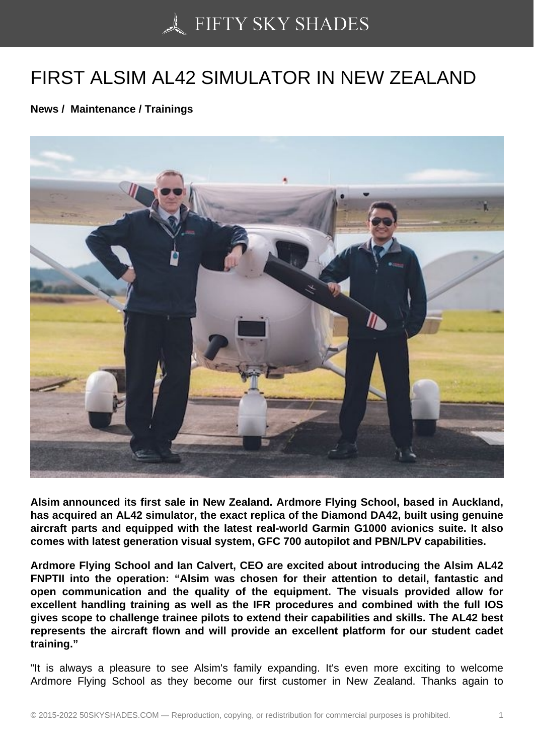## [FIRST ALSIM AL42 SI](https://50skyshades.com)MULATOR IN NEW ZEALAND

News / Maintenance / Trainings

Alsim announced its first sale in New Zealand. Ardmore Flying School, based in Auckland, has acquired an AL42 simulator, the exact replica of the Diamond DA42, built using genuine aircraft parts and equipped with the latest real-world Garmin G1000 avionics suite. It also comes with latest generation visual system, GFC 700 autopilot and PBN/LPV capabilities.

Ardmore Flying School and Ian Calvert, CEO are excited about introducing the Alsim AL42 FNPTII into the operation: "Alsim was chosen for their attention to detail, fantastic and open communication and the quality of the equipment. The visuals provided allow for excellent handling training as well as the IFR procedures and combined with the full IOS gives scope to challenge trainee pilots to extend their capabilities and skills. The AL42 best represents the aircraft flown and will provide an excellent platform for our student cadet training."

"It is always a pleasure to see Alsim's family expanding. It's even more exciting to welcome Ardmore Flying School as they become our first customer in New Zealand. Thanks again to